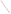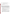## **AGENCY:** U.S. ENVIRONMENTAL PROTECTION AGENCY (EPA)

- **TITLE:** "Replacement Grant to Increase Awareness of Adverse Effects of Environmental Tobacco Smoke (ETS)/Secondhand Smoke on Children"
- **ACTION:** Request for Applications (RFA) Initial Announcement

**RFA NO.:** OAR-ORIA-IED-05-17

# **CATALOG OF FEDERAL DOMESTIC ASSISTANCE (CFDA) NO:** 66.034

## **DATES:**

The closing date for receipt of a cover letter of up to two pages, SF 424, 424A and B, and a proposal of up to 10 pages is due on **July 18, 2005 at 4:00 pm Eastern Daylight Time (EDT)**. **The proposals MUST be received by the contact point listed in Stage 3, Section III, C. 3, on or before the deadline date and time mentioned above. No late proposals will be accepted.** Due to the unique situation involving U.S. postal mail screening, the Agency recommends that you use express mail to submit your cover letter, SF 424, 424 A and B and proposal.

- 1. A pre-proposal conference call will be held on **June 23, 2005 from 2:30 pm to 3:30 pm EDT**. If you are interested in participating in this conference call please send an e-mail to "ets.rfa@epa.gov" providing your organization's contact information (see Section IV, Stage 1) by **June 15, 2005**.
- 2. Submit a cover letter of up to two pages, SF-424, 424A and B, and a proposal of up to 10 pages (including a scope of work, budget and brief descriptions of key personnel) on or before **July 18, 2005 at 4:00 pm EDT** (see Section IV, Stage 2).
- 3. EPA will notify all applicants regarding their proposal's status (i.e. whether or not selected for award recommendation). These notifications will occur within 15 days of recommended award decisions being made.
- 4. A Formal SF-424 Application Package including (all certifications and other supporting documentation not submitted in Stage II, see Section IV, Stage 3, A and B) from the applicant selected for award recommendation is due on or before **August 31, 2005 at 4:00pm**. Due to the unique situation involving U.S. postal mail screening, the Agency recommends that you use express mail to submit your formal SF 424, Application Package.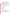## S**UMMARY**

EPA seeks proposals and SF 424, 424A and B from eligible entities to undertake national education, training, and outreach projects that: promote awareness and understanding of the environmental health benefits of smoke-free environments for children, strengthen the capacity of families and communities to create and sustain a smoke-free environment for children, reduce children's exposure to ETS, and assess the effectiveness and sustainability of education and outreach strategies that reduce and/or prevent children's exposure to ETS.

EPA solicits proposals from entities with experience implementing national-level environmental and/or public health programs and/or tobacco-related environmental health programs that have achieved positive environmental health outcomes.

EPA's emphasizes nationwide projects designed to demonstrate early success in reducing children's exposure to ETS. EPA is available to provide technical assistance to the selected organization to ensure the project leads to desired environmental results and outcomes, specifically reducing the number of children regularly exposed to ETS.

**FUNDING/AWARDS:** EPA will be awarding one cooperative assistance agreement with a total funding of between \$410,000 and \$430,000.

### **CONTENTS BY SECTION:**

- I. Funding Opportunity Description
- II. Award Information
- III. Eligibility Information
- IV. Application and Submission Information
- V. Application Review Information
- VI. Award Administration Information
- VII. Agency Contact(s)
- VIII. Other Information

## **I. FUNDING OPPORTUNITY DESCRIPTION**

### **A. Background**

US EPA Office of Radiation and Indoor Air (ORIA) has an active multi-pronged national-level program to combat asthma which focuses on preventing asthma symptoms by reducing children's exposure to indoor environmental triggers, in particular ETS.

ETS, also called secondhand smoke, is the mix of smoke given off by both a cigarette and the smoke exhaled by a smoker. This mixture contains more than 4,000 substances, more than 40 of which are known to cause cancer in humans or animals and many of which are strong irritants. Exposure to ETS is called involuntary smoking or passive smoking.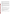Young children who breathe ETS are more susceptible to Sudden Infant Death Syndrome (SIDS). They also contract bronchitis and pneumonia, experience more ear infections, suffer more asthma attacks, and wheeze and cough. Approximately 3 million children (11%) aged 6 and under are exposed to ETS on a regular basis in their homes. (NOTE: "regular" is defined as 4 or more days/week.)

Asthma is an epidemic in the United States with a disproportionate impact on children. Approximately 17% of all households with children have had at least one child diagnosed with asthma. Children from low-income, low-education households are more likely to suffer from asthma, and children with asthma are just as likely to be exposed to ETS in their homes as children in general. EPA's goal is to increase the number of people with asthma who have reduced their exposure to environmental triggers of asthma from an estimated 3 million in 2003 to 6.5 million in 2012.

EPA seeks to support nationally-applicable, performance-based projects that: promote awareness and understanding of the environmental health benefits of smoke-free environments for children, strengthen the capacity of families and communities to create and sustain a smoke-free environment for children, reduce children's exposure to ETS, and assess the effectiveness and sustainability of education and outreach strategies that reduce and/or prevent children's exposure to ETS.

## **B. Scope of Work**

The expected result of this solicitation is to educate and motivate parents and caregivers to make their homes and cars smoke-free for children. Objectives are to:

- (1) Reduce the number of children exposed to ETS in the home and other environments.
- (2) Increase the number of smoke-free homes, cars and other environments for children age 6 and under.

Proposals submitted should focus on a variety of national education, training, and outreach strategies, particularly directed to low-income/low-education populations, that increase awareness and action on the environmental health risks to children from exposure to ETS, including asthma, SIDS, bronchitis, ear infections, and other health conditions.

## **C. EPA Strategic Plan Linkage and Anticipated Outcomes/Outputs**

## **1. Linkage to EPA Strategic Plan**

*This Competitive Funding Announcement supports EPA's Goal 1: Clean Air and Global Climate Change; Objective 1.2 Healthier Indoor Air; Sub-objective 1.1.1 – More People Breathing Cleaner Air.*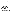The expected outputs of this project include national education, training, and outreach activities designed to change knowledge, attitude, and behavior about children's exposure to ETS. The intermediate outcomes of this project are increased public awareness and action to prevent the adverse effects of ETS on children, particularly as a key environmental asthma trigger. The environmental outcome of this project is to reduce children's exposure to ETS in their homes by creating and sustaining smoke-free environments. The expected ultimate impact is to reduce asthma attacks and other incidents of disease, along with their associated public costs, due to children's exposure to ETS.

Key requirements of the project include: 1) Link to EPA's Strategic Plan, 2) Resources/Input, 3) Activities (and targets, if any), 4) Stated Outputs (with targets), 5) Anticipated Outcomes (with targets) for the long-term, interim and short-term and 6) Baseline established for measurement.

## **2. Outcomes**

### **Examples of environmental outcomes/results (both qualitative and quantitative) indicating reductions in children's exposure to ETS:**

- Number of adults, living with children, who commit not to smoke in their homes and vehicles,
- Number of households with children age 6 and under counseled on the environmental health risks and prevention of ETS exposure to children,
- Number of families reached through collaboration with health care delivery systems, health care professionals, and/or educators,
- Number of health plan providers that have strengthened the provisions in their plans or guidance to medical personnel related to reducing children's ETS exposure.

# **3. Outputs**

## **Outputs/Activities to reduce children's exposure to ETS**

Project outputs/activities should aim to reduce children's exposure to ETS. Examples of outputs/activities that would be eligible for funding include, but are not limited to the following:

- A national environmental health campaign designed to protect children from ETS exposure in low-income/low-education populations. Project activities geared toward specified communities could incorporate the development of new, or use of existing, linguistically and culturally competent tools that provide the communities with important ETS and/or asthma information and encourage preventive action.
- Outreach to medical and health care professionals that promotes national awareness and teaches methods of intervention to reduce children's ETS exposure, and integrates those methods into standards of care in clinical practices of health care delivery systems.
- Education and training for lay health educators, bilingual peers (e.g. promotoras), and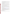community-based child care organizations across the nation through "train the trainer" courses which will help strengthen the capacity of families and communities to create and sustain smoke-free environments for children.

- Education, training, and outreach to individuals, gate keepers, and practitioners across the nation that links awareness of children's exposure to ETS with the management of environmental asthma triggers.
- Outreach to national health plan providers (including Medicaid and state health insurance programs for children) that leads to increased client awareness and prevention of children's exposure to ETS.
- Educational videos, publications and/or other tools to instruct parents and caregivers on how reduce children's exposure to ETS and keep their homes and vehicles smoke-free.
- Outreach to new and/or soon-to-be parents of infants about the dangers of ETS exposure to children that stimulates sustainable behavioral change.
- Education and outreach on preventing ETS exposure to low-income, low education families who are clients of early learning and nutritional government and nongovernment service providers; public and private daycare centers and other stakeholders across the nation to raise awareness of and promote action to protect children from ETS exposure.

## **D. Supplementary Information**

 The statutory authority for this action is Clean Air Act (CAA), Section 103. For detailed information on the CAA go to<http://www.epa.gov/oar/caa/caa103.txt>. This solicitation is in accordance with the CAA, Section 103. The CAA allows EPA to make grants for the purpose of education, training and outreach.

ETS is a toxic air pollutant, caused by the use of tobacco products. The effects on children's development and growth from exposure to ETS can impact both their overall health and welfare. This project will provide at the national-level, education, training and outreach on how to prevent and control children's exposure to ETS.

## **II. AWARD INFORMATION**

### **A. What is the amount of funding available?**

The total estimated funding for this competitive opportunity is between \$410,000 and \$430,000.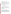### **B. How many agreements will EPA award in this competition?**

EPA anticipates an award of **1** cooperative agreement fully funded between \$410,000 and \$430,000 resulting from this announcement. Applicants are expected to provide a budget categorized over 36 months or three years.

Cooperative agreements awarded by the EPA permit substantial involvement between the EPA Project Officer and the awardee in the performance of work supported. Although EPA will negotiate precise terms and conditions relating to its substantial involvement as part of the award process, the anticipated substantial involvement for this project will be:

- 1. Close monitoring of the awardee performance to verify the results proposed by the awardee, including resource utilization;
- 2. Provision of technical assistance and collaboration during performance of the scope of work;
- 3. Approving substantive terms of proposed contracts;
- 4. Approve qualifications of key personnel (EPA will not select employees or contractors employed by the award recipient);
- 5. Review and comment on reports prepared under the cooperative assistance agreement.

# **C. What is the project period for award(s) resulting from this solicitation?**

The estimated project and budget period for awards resulting from this solicitation is **October 1, 2005 to September 30, 2008**. All projects must be completed within the negotiated project performance period of up to 36 months.

# **D. Are matching funds required?**

**No.** 

# **E. Can funding be used to acquire services or fund partnerships?**

Funding may be used to acquire services or fund partnerships, provided the recipient follows procurement and sub-award or sub-grant procedures contained in 40 CFR Parts 30 or 31, as applicable. Selected applicants must complete contracts for services and products and conduct cost and price analysis to the extent required by these regulations. The regulations also contain limitations on consultant compensation. Applicants are not required to identify contractors or consultants in their proposal. Moreover, the fact that a selected applicant has named a specific contractor or consultant in the proposal that EPA funds does not relieve the applicant of its obligations to comply with competitive procurement requirements.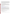Sub-grants or sub-awards may be used to fund partnerships with non-profit organizations and governmental entities. The successful applicant cannot use sub-grants or sub-awards to avoid requirements in EPA grant regulations for competitive procurement by using these instruments to acquire commercial services or products to carry out its cooperative agreement. The nature of the transaction between the recipient and the sub-grantee must be consistent with the standards for distinguishing between vendor transactions and sub-recipient assistance under Subpart B Section 210 of OMB Circular A-133, and the definitions of "sub-award" at 40 CFR 30.2(ff) or "subgrant" at 40 CFR 31.3, as applicable. EPA will not be a party to these transactions.

### **F. Will EPA consider partial funding for projects?**

Yes, EPA reserves the right to partially fund proposals/applications by funding discrete activities, portions, or phases of the proposed project. If EPA decides to partially fund the proposal/application, it will do so in a manner that does not prejudice any applicants or affect the basis upon which the proposal/application, or portion thereof, was evaluated and selected for award, and that maintains the integrity of the competition and the evaluation/selection process.

## **III. ELIGIBILITY INFORMATION**

### **A. Eligible Entities**

Proposals will be accepted from universities, state, local, multi-state, tribal governmental agencies and non-profit organizations, as defined by OMB Circular A-122 [www.whitehouse.gov/omb/circulars/a122/a122.html.](http://www.whitehouse.gov/omb/circulars/a122/a122.html)

Non-profit organization, as defined by OMB Circular A-122, means any corporation, trust, association, cooperative, or other organization which: (1) is operated primarily for scientific, educational, service, charitable, or similar purposes in the public interest; (2) is not organized primarily for profit; and (3) uses its net proceeds to maintain, improve, and/or expand its operations. For this purpose, the term "non-profit organization" excludes (i) colleges and universities; (ii) hospitals; (iii) state, local, and federally-recognized Indian tribal governments; and (iv) those non-profit organizations which are excluded from coverage of this Circular in accordance with paragraph 5 of the Circular.

Non-profit organizations described in Section 501(c)(4) of the Internal Revenue Code that engage in lobbying activities as defined in Section 3 of the Lobbying Disclosure Act of 1995 are not eligible to apply.

## **IV. APPLICATION AND SUBMISSION INFORMATION**

The process involves three stages:

- Stage 1 -- pre-proposal conference call.
- Stage 2 -- submission of up to a two-page cover letter, SF-424 A and B, and up to a ten-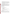page proposal with a scope of work, budget and short biographical descriptions of key personnel. The proposal will be evaluated using the evaluation criteria set forth in Section V of this announcement.

Stage 3 -- Once a letter of invitation has been sent to the selected applicant for award recommendation the selected applicant will submit **all of the elements of the Formal SF-424 Application Package** not included in the prior submission of Stage 2 (to a twopage cover letter, SF-424, 424A and B, and up to a ten-page proposal with a scope of work, budget and short biographical descriptions of key personnel).

#### **Stage 1: Pre-proposal Conference Call**

This call will be held **June 23, 2005 from 2:30 pm to 3:30 pm EDT**. The purpose of this call is to answer any questions applicants may have concerning project eligibility, scope of work, budget, project monitoring, application selection and award process, etc. If your organization is interested in participating in the pre-proposal conference call, please e-mail EPA at ets.rfa@epa.gov by **June 15, 2005**. In your e-mail please provide the organization's contact information including: the name of the organization, contact person's name, e-mail address, phone number and fax number.

#### **Stage 2: Cover Letter and Proposal**

#### **Elements of the Cover Letter**

The cover letter must provide all of the following information:

- 1) Contact information for the organization:
	- a) Name of organization
	- b) Contact person's name
	- c) Mailing address (express mail address if different than mailing address)
	- d) E-mail address
	- e) Phone and fax numbers
- 2) A statement that your organization has eligibility status; and
- 3) A description of the quantitative results/outcomes of your current programs(s) as it relates to one or more of the project areas outlined in this RFA (see Examples of Outcomes/Results, Section I);

#### **Elements of the Proposal**

In addition, to the two page cover letter, SF-424, 424A and B, organizations must submit a proposal with a maximum of ten pages that includes a detailed work plan, itemized budget, timeline, and brief biographical descriptions for key personnel. If more than ten pages are submitted, only the first ten pages will be reviewed and evaluated. Text must be single-spaced,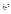and margins are not specified. Proposals must be legible and written in English or they will not be reviewed. No additional extraneous materials (e.g., brochures, videos, etc) will be given to the review panel for consideration.

The proposal should address the following elements in the order provided:

- A. Project Title.
- B. Applicant Information. Include applicant (organization) name, address, contact person, phone number, fax and e-mail address.
- C. Total Project Cost. Specify total cost of the project. Identify funding from other sources including any in-kind resources.
- D. Project period. Provide beginning and ending dates (for planning purposes, applicants should assume funds will be available in October 2005).
- E. Narrative Work Plan. The narrative workplan must explicitly describe how the proposed project meets the guidelines established in Section I(B), Scope of Work and, specifically, address each of the evaluation criteria disclosed in Section V(A), Evaluation Criteria.
	- 1. It must include a detailed project summary, description of specific actions and methods to be undertaken and the responsible institutions, including estimated timeline for each task
	- 2. The associated work products to be developed (e.g. partnership agreements, if any)
	- 3. An explanation of project benefits to the public
	- 4. An explanation of how project outcomes will be designed for the benefit of low-income, low education communities
	- 5. A detailed explanation of how project success shall be evaluated
	- 6. A description of the roles of the applicant and partners if any
	- 7. Biographical information of the key personnel
	- 8. A discussion of the applicant's:
		- i. past performance in successfully completing federally and/or nonfederally funded projects similar in size, scope, and relevance to the proposed project;
		- ii. history of meeting reporting requirements on prior or current assistance agreements with federal and/or non-federal organizations and submitting acceptable final technical reports;
		- iii. organizational experience and plan for timely and successfully achieving the objectives of the project,
		- iv. staff expertise/qualifications, staff knowledge, and resources or the ability to obtain them, to successfully achieve the goals of the project;
- G. Plan for tracking and measuring progress toward achieving the expected environmental outputs/outcomes identified in Section I of this announcement.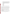- H. Reporting Requirements. Discuss quarterly updates (schedule to be established by EPA) and a detailed follow-up final report. The final report should include: summary of the project, advances achieved if applicable, and costs of the project. In addition, the final report shall discuss the problems, successes, lessons learned from the demonstration project that could help overcome structural, organizational or technical obstacles to implementing a similar project elsewhere.
- I. Detailed Itemized Budget. Provide a budget for the following categories, specifying unit costs:
	- \_ Personnel
	- \_ Fringe Benefits
	- \_ Contractual Costs
	- \_ Travel
	- \_ Equipment
	- \_ Supplies
	- \_ Other
	- \_ Total Direct Costs
	- \_ Total Indirect Costs: must include documentation of accepted indirect rate
	- \_ Total Cost

The two-page cover letter, SF-424, 424A and B and ten page proposal with the scope of work, budget and key personnel must be submitted no later than **July 18, 2005**. No late proposals will be accepted.

Applicants are strongly advised to avoid submission of extraneous materials. Pages exceeding the maximum length will not be considered. The maximum page length shall include any pieces that may be submitted by a third party (e.g., references or letters confirming commitments). All application materials must be completed in English to be considered for award under this solicitation.

Applicants must submit information relating to the programmatic capability criteria to be evaluated under the ranking factor(s) in section V of the announcement. EPA will consider information provided by the applicant and may consider information from other sources including Agency files.

### **Stage 3: Invitation and Submission of a Formal SF-424 Application Package including all supporting documentation**

EPA anticipates notifying the selected applicant for recommended award within 15 days after recommended award decisions are made. Upon this notification, the selected applicant will be invited to submit a formal complete package and all supporting documentation.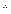When submitting the Formal SF-424 Application Package applicants must include all documents except those submitted prior in Stage 2. The Formal SF-424 Application Package is due on or before **August 31, 2005 at 4:00pm EDT**.

## **A. How to Obtain an Application Package**

The complete grants application (Formal SF-424 "Application Kit for Federal Assistance" package) for the selected applicant can be downloaded from EPA's Office of Grants and Debarment website at: [http://www.epa.gov/ogd/grants/how\\_to\\_apply.htm.](http://www.epa.gov/ogd/grants/how_to_apply.htm) Selected applicants may request a paper copy of the application package by contacting the agency contact person listed in Section VII of this announcement.

# **B. Content and Form of Formal SF-424 Application Package Submission**

The selected applicant must submit the Form SF-424 "Application Kit for Federal Assistance" package consistent with the chosen original proposal. The chosen proposal will be matched with the appropriate Formal SF-424 application when submitted from the selected applicant. Please provide an original and **two** copies of the SF-424 and all supporting documentation with appropriate signatures.

## **A complete application must contain the following, in the sequential order shown:**

- a. SF-424 Application Kit for Federal Assistance, with original signature
- b. Key Contact List
- c. SF-424 A, Budget by categories and indirect cost rate
- d. SF-424 B, Assurances for Non-construction Programs
- e. Certification Regarding Lobbying and SF LLL
- f. EPA Form 4700-4 Pre-award Compliance review report
- g. Copy of Negotiated Indirect Cost Rate Agreement, if applicable
- h. Quality Assurance Narrative Statement, if applicable
- i. Other Supporting Documentation
- **C. Submission Dates and Times**

1. **Deadline for Submission.** The completed application package is due **August 31, 2005, 4:00 pm EDT**. All application packages must be received in the program office listed below by the deadline. Applications received after the deadline will not be considered for funding.

**2. Confidential Business Information.** In accordance with 40 CFR 2.203, applicants may claim all or a portion of their application/proposal as confidential business information. EPA will evaluate confidential claims in accordance with 40 CFR Part 2. Applicants must clearly mark applications/proposals or portions of applications/proposals they claim as confidential. If no claim of confidentiality is made, EPA is not required to make the inquiry to the applicant otherwise required by 40 CFR 2.204 (c)(2) prior to disclosure.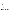**3. Other Submission Requirements.** Due to the unique situation involving U.S. postal mail screening, the Agency **RECOMMENDS** that applicants use an express mail option (i.e. FedEx, UPS, DHL, etc.) to submit their proposals and applications. The closing date for receipt of a cover letter of up to two pages, SF 424, 424A and B, and a proposal of up to 10 pages is due on **July 18, 2005 at 4:00 pm Eastern Daylight Time (EDT)**. **The proposals MUST be received by the contact point listed below on or before the deadline date and time. NO LATE PROPOSALS ACCEPTED.** The proposal and application should be express mail delivered to the following address:

### **Regular Mail Delivery Address (U.S. Postal Service)**

U.S.EPA Attn: Shelley Blake 1200 Pennsylvania Avenue, NW (Mail Code 6609J) Washington, DC 20450

Phone: (202) 343-9819

## **Express Delivery Address (FedEx, UPS, DHL, etc.)**

U.S.EPA Attn: Shelley Blake 1310 L Street, NW, Room 413J Washington, DC 20005

Phone: (202) 343-9819

## **V. APPLICATION REVIEW INFORMATION**

### **A. Evaluation Criteria**

Each eligible proposal will be evaluated against the criteria set forth below. The proposal best able to directly and explicitly address these criteria will have a greater likelihood of selection. Each proposal will be rated under a points system, with a total of 100 points possible. **PROPOSALS WILL BE EVALUATED BASED ON THE EXTENT THEY:**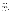| <b>Proposal Evaluation Criterion</b>                        |                                                                                                                                                                                                                                                                                                                                                                                                                   | <b>Maximum Points per</b><br>Criteria (100 Point<br>Scale) |
|-------------------------------------------------------------|-------------------------------------------------------------------------------------------------------------------------------------------------------------------------------------------------------------------------------------------------------------------------------------------------------------------------------------------------------------------------------------------------------------------|------------------------------------------------------------|
| I. Project Overview; Goals and Objectives:                  |                                                                                                                                                                                                                                                                                                                                                                                                                   | <b>Total Points (25)</b>                                   |
| 1.                                                          | Clearly describe the basic structure of the proposed project and<br>describe how the applicant will identify and collaborate with<br>various organizations, stakeholders and low-income, low-<br>education communities/individuals, and government and non-<br>government agencies at the national-level;                                                                                                         | 15                                                         |
| 2.                                                          | List goals and objectives that are clearly stated and whether the<br>project activities at the national-level are likely to result in<br>behavioral changes in homes and communities leading to<br>reduced exposure to ETS by children in targeted populations,<br>particularly low-income, low-education communities;                                                                                            | 10                                                         |
| II. Target Population; Methods and Materials; and Timeline: |                                                                                                                                                                                                                                                                                                                                                                                                                   | <b>Total Points (30)</b>                                   |
| 1.                                                          | Describe practical strategies for conducting national<br>environmental health education, training, and outreach<br>activities, particularly with respect to motivating behavioral<br>changes among socio-economically diverse and<br>disproportionately affected populations and whether it clearly<br>identifies the targeted population and the reason the particular<br>population was chosen for the project; | 15                                                         |
| 2.                                                          | Demonstrate at the national-level the potential and capacity to<br>achieve measurable outputs and/or intermediate and final<br>outcomes as described in Section I;                                                                                                                                                                                                                                                | 10                                                         |
| 3.                                                          | Provide a clear project timeline that outlines project length,<br>milestones, quarterly reports and final report submission dates;                                                                                                                                                                                                                                                                                | 5                                                          |
|                                                             | <b>III.</b> Work Experience; and Staff:                                                                                                                                                                                                                                                                                                                                                                           | <b>Total Points (25)</b>                                   |
| 1.                                                          | Demonstrate that the applicant is currently implementing (or<br>has implemented) national-level education, training, and<br>outreach projects on environmental or public health topics<br>(e.g., ETS or asthma) that are achieving (or have achieved)<br>measurable outcomes;                                                                                                                                     | 10                                                         |
| 2.                                                          | Describe past national-level projects or activities that<br>demonstrate the applicant's experience with tasks and activities<br>relevant to the size, scope, complexity of the requirements in<br>this solicitation;                                                                                                                                                                                              | 5                                                          |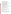| 3.                   | Demonstrate that the applicant has identified sufficient and<br>qualified key personnel to accomplish the proposed scope of<br>work, project staff that are competent to perform the proposed<br>work (i.e. exhibits knowledge and experience to address any<br>unique community needs in order to perform effectively), and<br>key personnel that have sufficient grant management<br>experience;                     | 10                       |
|----------------------|------------------------------------------------------------------------------------------------------------------------------------------------------------------------------------------------------------------------------------------------------------------------------------------------------------------------------------------------------------------------------------------------------------------------|--------------------------|
|                      | IV. Monitoring and Evaluation; Sustainability and Replication:                                                                                                                                                                                                                                                                                                                                                         | <b>Total Points (10)</b> |
| 1                    | Clearly describe a practical, reasonable, and sound evaluation<br>component for tracking progress and accomplishments at the<br>national-level and provide for submission of timely<br>performance reports that, at a minimum, report the number of<br>individuals and households that have received education,<br>training and outreach on the cause, effects, prevention and<br>control of ETS exposure to children; | 5                        |
| 2.                   | Explain how the applicant will sustain the project and promote<br>the replication of this project nationally and or/in other<br>localities after expiration of EPA funding support; and                                                                                                                                                                                                                                | 5                        |
| <b>Budget:</b><br>V. |                                                                                                                                                                                                                                                                                                                                                                                                                        | <b>Total Points (10)</b> |
| 1.                   | Include a budget that relates to the objectives, outcomes, and<br>deliverables within the work plan proposed. In addition, the<br>budget should itemize funds for salaries, materials, equipment,<br>contracted activities, travel, overhead, and other pertinent<br>information related to the proposal.                                                                                                              | 10                       |

## **B. Review and Selection Process**

Each proposal will be reviewed by an Evaluation Team possessing knowledge and expertise to address a full range of indoor air pollutants concerns (including national public education, training, and outreach activities). The Evaluation Team will base its evaluation of proposals solely on the Proposal Evaluation Criterion disclosed in this notice.

# **VI. AWARD ADMINISTRATION INFORMATION**

# **A. Award Notices**

1. EPA anticipates notifying the selected applicant for award recommendation by telephone, postal or electronic mail within 15 days of recommended award decision. This notification will advise the applicant that their submitted proposal was recommended for award by the Evaluation Team and is not an authorization to begin the activities of the project. Only the EPA Grants Administration Division Award Official makes final decisions and gives official notice of award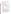on the expenditure of funds resulting from this announcement. The anticipated award announcement date is **October 1, 2005,** and is subject to the availability of funds.

2. EPA anticipates notification to unsuccessful applicant(s) telephone, postal or electronic mail will be within 15 days of recommended award selection. In either event, the notification will be sent to the original signer of the application.

## **B. Administrative and National Policy Requirements**

- 1. A listing and description of general EPA Regulations applicable to the award of assistance agreements may be viewed at: [http://www.epa.gov/ogd/AppKit/applicable\\_epa\\_regulations\\_and\\_description.htm.](http://www.epa.gov/ogd/AppKit/applicable_epa_regulations_and_description.htm)
- 2. Executive Order 12372, Intergovernmental Review of Federal Programs may be applicable to awards resulting from this announcement. Applicants selected for funding may be required to provide a copy of their proposal.
- 3. All applicants are required to provide a Dun and Bradstreet (D&B) Data Universal Numbering System (DUNS) number when applying for a Federal grant or cooperative agreement. Applicants can receive a DUNS number, at no cost, by calling the dedicated toll-free DUNS Number request line at 1-866-705-5711, or visiting the D&B website at: <http://www.dnb.com>.
- 4. Grants and agreements with institutions of higher education are subject to 40 CFR Parts 30 and 40 and OMB circular A-122 for non-profits and A-21 for institutions of higher learning.
- 5. Programmatic Terms and conditions will be negotiated with the selected recipient.
- 6. A listing and description of general EPA Regulations applicable to the award of assistance agreements may be viewed at [http://www.epa.gov/ogd/AppKit/applicable\\_epa\\_regulations\\_and\\_description.htm](http://www.epa.gov/ogd/AppKit/applicable_epa_regulations_and_description.htm)
- 7. Funding is only available for the activities authorized under one or more of the U.S. EPA grant authorities cited in Section 103 of the Clean Air Act. Funding will not be permitted for construction activity, lobbying, entertainment expenses, or other unallowable costs under the applicable OMB circulars. Equipment costs are allowable only with the written consent of EPA. Allowable costs for non-profit organizations are defined in OMB circular A-122; allowable costs for public entities are defined in OMB circular A-87. Any contracts for services or products funded with EPA financial assistance must be awarded under the competitive procurement provisions of 40 CFR Part 30 or 40 CFR Part 31, as applicable. Sub-awards/sub-grants must be consistent with the definitions of these terms in 40 CFR 30.2 (ff) and 40 CFR 31.3 Sub-grant as applicable. EPA encourages applicants to compete sub-grants. (See Section 4.2, confirmation of partner participation, for further details)**.**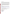### **C. Reporting Requirement**

Quarterly performance reports and a detailed final technical report will be required during the project performance period. The final technical report should include (but is not limited to) a summary covering work status, work progress, publications, and actual accomplishments pertinent to the project goals and objectives for the entire period. The timeline for submission of quarterly reports will commence upon the official start date of the project and budget periods.

While the Agency will negotiate precise terms and conditions relating to substantial involvement as part of the award process, EPA expects to closely monitor the successful applicant(s) performance, collaborate during the performance of the scope of work, approve the substantive terms of proposed contracts, approve the qualifications of key personnel, review and comment on reports prepared under the cooperative agreement, and evaluate the engineering improvements on an EPA demonstration project. EPA will not select employees or contractors employed by the recipient(s) and the final decision on the content of reports rests with the recipient(s).

# **D. Disputes**

Assistance agreement competition-related disputes will be resolved in accordance with the dispute resolution procedures published in 70 FR (Federal Register) 3629, 3630 (January 26, 2005) which can be found at

http://a257.g.akamaitech.net/7/257/2422/01jan20051800/edocket.access.gpo.gov/2005/05\_1371. [htm.](http://a257.g.akamaitech.net/7/257/2422/01jan20051800/edocket.access.gpo.gov/2005/05_1371.htm) Copies of these procedures may also be requested by contacting Victoria Drew at 202-343-9049.

## **E. Pre-Award Administrative Capability Review**

Non-profit applicants that are recommended for funding will be subject to pre-award administrative capability reviews consistent with Sections 8.b, 8.c, and 9.d of EPA Order 5700.8.

# **VII. AGENCY CONTACT FOR FURTHER INFORMATION:**

Shelley Blake U.S. Environmental Protection Agency Office of Radiation and Indoor Air Indoor Environments Division 1310 L Street, NW Room 413J, (Mail Code 6609J) Washington, DC 20005 Fax: (202) 343-2394 e-mail: ets.rfa@epa.gov